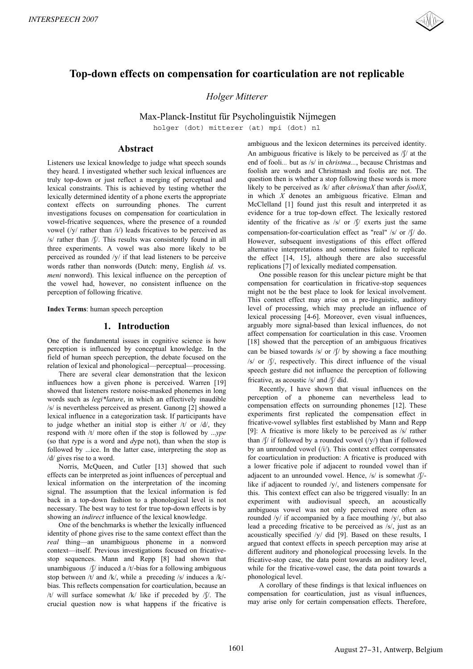

# **Top-down effects on compensation for coarticulation are not replicable**

*Holger Mitterer*

Max-Planck-Institut für Psycholinguistik Nijmegen

holger (dot) mitterer (at) mpi (dot) nl

# **Abstract**

Listeners use lexical knowledge to judge what speech sounds they heard. I investigated whether such lexical influences are truly top-down or just reflect a merging of perceptual and lexical constraints. This is achieved by testing whether the lexically determined identity of a phone exerts the appropriate context effects on surrounding phones. The current investigations focuses on compensation for coarticulation in vowel-fricative sequences, where the presence of a rounded vowel (/y/ rather than /i/) leads fricatives to be perceived as  $/s$  rather than  $\sqrt{V}$ . This results was consistently found in all three experiments. A vowel was also more likely to be perceived as rounded /y/ if that lead listeners to be perceive words rather than nonwords (Dutch: meny, English *id.* vs. *meni* nonword). This lexical influence on the perception of the vowel had, however, no consistent influence on the perception of following fricative.

**Index Terms**: human speech perception

# **1. Introduction**

One of the fundamental issues in cognitive science is how perception is influenced by conceptual knowledge. In the field of human speech perception, the debate focused on the relation of lexical and phonological—perceptual—processing.

There are several clear demonstration that the lexicon influences how a given phone is perceived. Warren [19] showed that listeners restore noise-masked phonemes in long words such as *legi\*lature*, in which an effectively inaudible /s/ is nevertheless perceived as present. Ganong [2] showed a lexical influence in a categorization task. If participants have to judge whether an initial stop is either  $/t/$  or  $/d/$ , they respond with /t/ more often if the stop is followed by ...*ype* (so that *t*ype is a word and *d*ype not), than when the stop is followed by ...ice. In the latter case, interpreting the stop as /d/ gives rise to a word.

Norris, McQueen, and Cutler [13] showed that such effects can be interpreted as joint influences of perceptual and lexical information on the interpretation of the incoming signal. The assumption that the lexical information is fed back in a top-down fashion to a phonological level is not necessary. The best way to test for true top-down effects is by showing an *indirect* influence of the lexical knowledge.

One of the benchmarks is whether the lexically influenced identity of phone gives rise to the same context effect than the *real* thing—an unambiguous phoneme in a nonword context—itself. Previous investigations focused on fricativestop sequences. Mann and Repp [8] had shown that unambiguous / $\int$ / induced a /t/-bias for a following ambiguous stop between /t/ and /k/, while a preceding /s/ induces a /k/ bias. This reflects compensation for coarticulation, because an /t/ will surface somewhat  $/k/$  like if preceded by  $/$ . The crucial question now is what happens if the fricative is ambiguous and the lexicon determines its perceived identity. An ambiguous fricative is likely to be perceived as  $/$  at the end of fooli*...* but as /s/ in c*hristma...*, because Christmas and foolish are words and Christmash and foolis are not. The question then is whether a stop following these words is more likely to be perceived as /k/ after *chrismaX* than after *fooliX*, in which *X* denotes an ambiguous fricative. Elman and McClelland [1] found just this result and interpreted it as evidence for a true top-down effect. The lexically restored identity of the fricative as  $\sqrt{s}$  or  $\sqrt{s}$  exerts just the same compensation-for-coarticulation effect as "real"  $/s/$  or  $\frac{f}{f/d}$  do. However, subsequent investigations of this effect offered alternative interpretations and sometimes failed to replicate the effect [14, 15], although there are also successful replications [7] of lexically mediated compensation.

One possible reason for this unclear picture might be that compensation for coarticulation in fricative-stop sequences might not be the best place to look for lexical involvement. This context effect may arise on a pre-linguistic, auditory level of processing, which may preclude an influence of lexical processing [4-6]. Moreover, even visual influences, arguably more signal-based than lexical influences, do not affect compensation for coarticulation in this case. Vroomen [18] showed that the perception of an ambiguous fricatives can be biased towards  $/s/$  or  $\int$  by showing a face mouthing /s/ or //, respectively. This direct influence of the visual speech gesture did not influence the perception of following fricative, as acoustic  $/s/$  and  $\int \int$  did.

Recently, I have shown that visual influences on the perception of a phoneme can nevertheless lead to compensation effects on surrounding phonemes [12]. These experiments first replicated the compensation effect in fricative-vowel syllables first established by Mann and Repp [9]: A fricative is more likely to be perceived as /s/ rather than  $/\int$  if followed by a rounded vowel  $(\sqrt{y})$  than if followed by an unrounded vowel (/i/). This context effect compensates for coarticulation in production: A fricative is produced with a lower fricative pole if adjacent to rounded vowel than if adjacent to an unrounded vowel. Hence,  $/s/$  is somewhat  $/$ [ $/$ like if adjacent to rounded /y/, and listeners compensate for this. This context effect can also be triggered visually: In an experiment with audiovisual speech, an acoustically ambiguous vowel was not only perceived more often as rounded  $/y/$  if accompanied by a face mouthing  $/y/$ , but also lead a preceding fricative to be perceived as /s/, just as an acoustically specified /y/ did [9]. Based on these results, I argued that context effects in speech perception may arise at different auditory and phonological processing levels. In the fricative-stop case, the data point towards an auditory level, while for the fricative-vowel case, the data point towards a phonological level.

A corollary of these findings is that lexical influences on compensation for coarticulation, just as visual influences, may arise only for certain compensation effects. Therefore,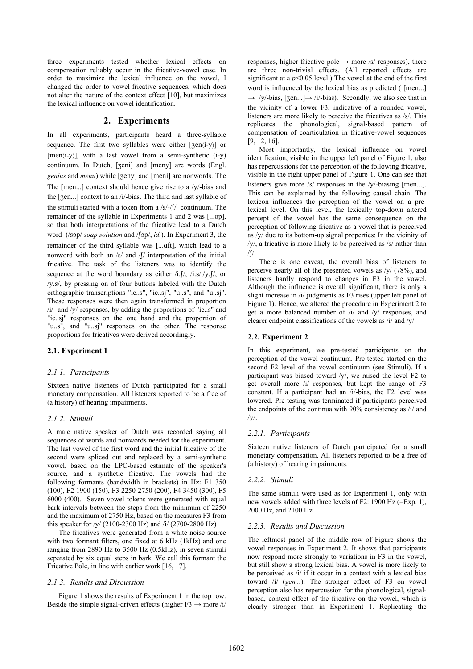three experiments tested whether lexical effects on compensation reliably occur in the fricative-vowel case. In order to maximize the lexical influence on the vowel, I changed the order to vowel-fricative sequences, which does not alter the nature of the context effect [10], but maximizes the lexical influence on vowel identification.

# **2. Experiments**

In all experiments, participants heard a three-syllable sequence. The first two syllables were either  $[sen(i-v)]$  or [men(i-y)], with a last vowel from a semi-synthetic (i-y) continuum. In Dutch, [zeni] and [meny] are words (Engl. *genius* and *menu*) while [zeny] and [meni] are nonwords. The The [men...] context should hence give rise to a /y/-bias and the [zen...] context to an /i/-bias. The third and last syllable of the stimuli started with a token from a  $/s$ /- $\sqrt{(}$  continuum. The remainder of the syllable in Experiments 1 and 2 was [...op], so that both interpretations of the fricative lead to a Dutch word (/sop/ *soap solution* and /fop/, *id.*). In Experiment 3, the remainder of the third syllable was [...aft], which lead to a nonword with both an  $/s/$  and  $\int \int$  interpretation of the initial fricative. The task of the listeners was to identify the sequence at the word boundary as either  $/i.f$ ,  $/j.$   $ji.$   $s$ ,  $/y.f$ , or /y.s/, by pressing on of four buttons labeled with the Dutch orthographic transcriptions "ie..s", "ie..sj", "u..s", and "u..sj". These responses were then again transformed in proportion /i/- and /y/-responses, by adding the proportions of "ie..s" and "ie..sj" responses on the one hand and the proportion of "u..s", and "u..sj" responses on the other. The response proportions for fricatives were derived accordingly.

# **2.1. Experiment 1**

#### *2.1.1. Participants*

Sixteen native listeners of Dutch participated for a small monetary compensation. All listeners reported to be a free of (a history) of hearing impairments.

#### *2.1.2. Stimuli*

A male native speaker of Dutch was recorded saying all sequences of words and nonwords needed for the experiment. The last vowel of the first word and the initial fricative of the second were spliced out and replaced by a semi-synthetic vowel, based on the LPC-based estimate of the speaker's source, and a synthetic fricative. The vowels had the following formants (bandwidth in brackets) in Hz: F1 350 (100), F2 1900 (150), F3 2250-2750 (200), F4 3450 (300), F5 6000 (400). Seven vowel tokens were generated with equal bark intervals between the steps from the minimum of 2250 and the maximum of 2750 Hz, based on the measures F3 from this speaker for  $/y/$  (2100-2300 Hz) and  $/i/$  (2700-2800 Hz)

The fricatives were generated from a white-noise source with two formant filters, one fixed at 6 kHz (1kHz) and one ranging from 2890 Hz to 3500 Hz (0.5kHz), in seven stimuli separated by six equal steps in bark. We call this formant the Fricative Pole, in line with earlier work [16, 17].

# *2.1.3. Results and Discussion*

Figure 1 shows the results of Experiment 1 in the top row. Beside the simple signal-driven effects (higher  $F3 \rightarrow$  more /i/ responses, higher fricative pole  $\rightarrow$  more /s/ responses), there are three non-trivial effects. (All reported effects are significant at a  $p<0.05$  level.) The vowel at the end of the first word is influenced by the lexical bias as predicted ( [men...]  $\rightarrow$  /y/-bias, [zen...] $\rightarrow$ /i/-bias). Secondly, we also see that in the vicinity of a lower F3, indicative of a rounded vowel, listeners are more likely to perceive the fricatives as /s/. This replicates the phonological, signal-based pattern of compensation of coarticulation in fricative-vowel sequences [9, 12, 16].

Most importantly, the lexical influence on vowel identification, visible in the upper left panel of Figure 1, also has repercussions for the perception of the following fricative, visible in the right upper panel of Figure 1. One can see that listeners give more /s/ responses in the /y/-biasing [men...]. This can be explained by the following causal chain. The lexicon influences the perception of the vowel on a prelexical level. On this level, the lexically top-down altered percept of the vowel has the same consequence on the perception of following fricative as a vowel that is perceived as /y/ due to its bottom-up signal properties: In the vicinity of /y/, a fricative is more likely to be perceived as /s/ rather than  $/$ .

There is one caveat, the overall bias of listeners to perceive nearly all of the presented vowels as /y/ (78%), and listeners hardly respond to changes in F3 in the vowel. Although the influence is overall significant, there is only a slight increase in /i/ judgments as F3 rises (upper left panel of Figure 1). Hence, we altered the procedure in Experiment 2 to get a more balanced number of /i/ and /y/ responses, and clearer endpoint classifications of the vowels as /i/ and /y/.

#### **2.2. Experiment 2**

In this experiment, we pre-tested participants on the perception of the vowel continuum. Pre-tested started on the second F2 level of the vowel continuum (see Stimuli). If a participant was biased toward /y/, we raised the level F2 to get overall more /i/ responses, but kept the range of F3 constant. If a participant had an /i/-bias, the F2 level was lowered. Pre-testing was terminated if participants perceived the endpoints of the continua with 90% consistency as /i/ and  $/y/$ .

# *2.2.1. Participants*

Sixteen native listeners of Dutch participated for a small monetary compensation. All listeners reported to be a free of (a history) of hearing impairments.

#### *2.2.2. Stimuli*

The same stimuli were used as for Experiment 1, only with new vowels added with three levels of F2: 1900 Hz (=Exp. 1), 2000 Hz, and 2100 Hz.

#### *2.2.3. Results and Discussion*

The leftmost panel of the middle row of Figure shows the vowel responses in Experiment 2. It shows that participants now respond more strongly to variations in F3 in the vowel, but still show a strong lexical bias. A vowel is more likely to be perceived as /i/ if it occur in a context with a lexical bias toward /i/ (*gen...*). The stronger effect of F3 on vowel perception also has repercussion for the phonological, signalbased, context effect of the fricative on the vowel, which is clearly stronger than in Experiment 1. Replicating the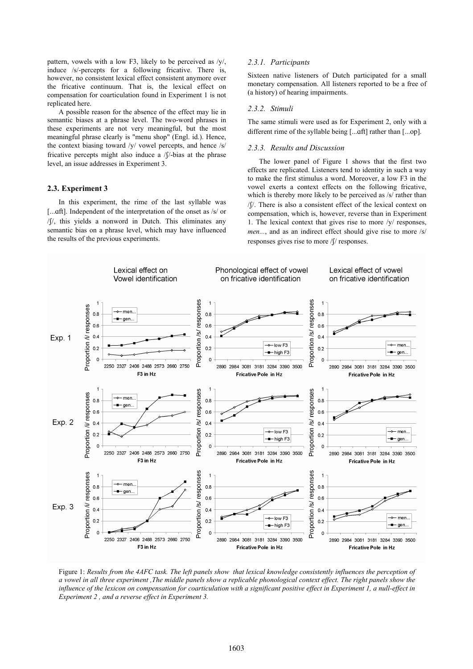pattern, vowels with a low F3, likely to be perceived as /y/, *2.3.1. Participants*  induce /s/-percepts for a following fricative. There is, however, no consistent lexical effect consistent anymore over the fricative continuum. That is, the lexical effect on compensation for coarticulation found in Experiment 1 is not replicated here.

*2.3.2. Stimuli* A possible reason for the absence of the effect may lie in semantic biases at a phrase level. The two-word phrases in these experiments are not very meaningful, but the most meaningful phrase clearly is "menu shop" (Engl. id.). Hence, the context biasing toward /y/ vowel percepts, and hence /s/ fricative percepts might also induce a  $/f$ -bias at the phrase level, an issue addresses in Experiment 3.

### **2.3. Experiment 3**

In this experiment, the rime of the last syllable was [...aft]. Independent of the interpretation of the onset as /s/ or //, this yields a nonword in Dutch. This eliminates any semantic bias on a phrase level, which may have influenced the results of the previous experiments.

Sixteen native listeners of Dutch participated for a small monetary compensation. All listeners reported to be a free of (a history) of hearing impairments.

The same stimuli were used as for Experiment 2, only with a different rime of the syllable being [...qft] rather than [...op].

### *2.3.3. Results and Discussion*

The lower panel of Figure 1 shows that the first two effects are replicated. Listeners tend to identity in such a way to make the first stimulus a word. Moreover, a low F3 in the vowel exerts a context effects on the following fricative, which is thereby more likely to be perceived as /s/ rather than //. There is also a consistent effect of the lexical context on compensation, which is, however, reverse than in Experiment 1. The lexical context that gives rise to more /y/ responses, *men...*, and as an indirect effect should give rise to more /s/ responses gives rise to more / $\frac{1}{2}$  responses.



Figure 1: *Results from the 4AFC task. The left panels show that lexical knowledge consistently influences the perception of a vowel in all three experiment ,The middle panels show a replicable phonological context effect. The right panels show the influence of the lexicon on compensation for coarticulation with a significant positive effect in Experiment 1, a null-effect in Experiment 2 , and a reverse effect in Experiment 3.*